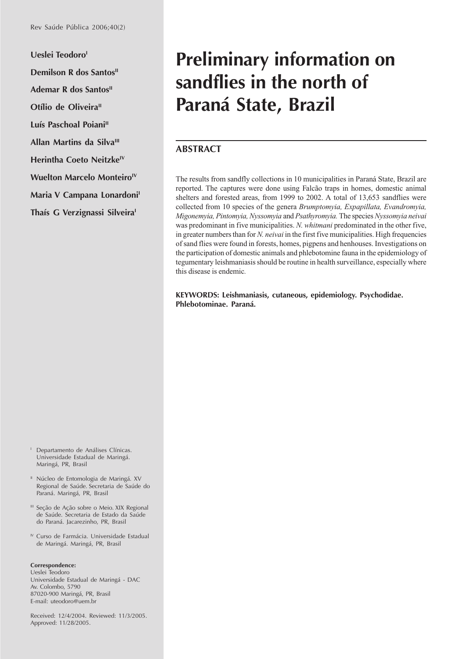Ueslei Teodoro<sup>1</sup> **Demilson R dos Santos**<sup>11</sup> **Ademar R dos Santos**<sup>II</sup> **Otílio de Oliveira**<sup>II</sup> Luís Paschoal Poiani<sup>II</sup> **Allan Martins da Silva<sup>III</sup> Herintha Coeto Neitzke<sup>IV</sup> Wuelton Marcelo Monteiro<sup>IV</sup> Maria V Campana Lonardoni**<sup>1</sup> **Thaís G Verzignassi Silveira**<sup>1</sup>

# **Preliminary information on sandflies in the north of Paraná State, Brazil**

### **ABSTRACT**

The results from sandfly collections in 10 municipalities in Paraná State, Brazil are reported. The captures were done using Falcão traps in homes, domestic animal shelters and forested areas, from 1999 to 2002. A total of 13,653 sandflies were collected from 10 species of the genera *Brumptomyia, Expapillata, Evandromyia, Migonemyia, Pintomyia, Nyssomyia* and *Psathyromyia.* The species *Nyssomyia neivai* was predominant in five municipalities. *N. whitmani* predominated in the other five, in greater numbers than for *N. neivai* in the first five municipalities. High frequencies of sand flies were found in forests, homes, pigpens and henhouses. Investigations on the participation of domestic animals and phlebotomine fauna in the epidemiology of tegumentary leishmaniasis should be routine in health surveillance, especially where this disease is endemic*.*

**KEYWORDS: Leishmaniasis, cutaneous, epidemiology. Psychodidae. Phlebotominae. Paraná.**

- <sup>1</sup> Departamento de Análises Clínicas. Universidade Estadual de Maringá. Maringá, PR, Brasil
- <sup>11</sup> Núcleo de Entomologia de Maringá. XV Regional de Saúde. Secretaria de Saúde do Paraná. Maringá, PR, Brasil
- <sup>III</sup> Seção de Ação sobre o Meio. XIX Regional de Saúde. Secretaria de Estado da Saúde do Paraná. Jacarezinho, PR, Brasil
- <sup>IV</sup> Curso de Farmácia. Universidade Estadual de Maringá. Maringá, PR, Brasil

#### **Correspondence:**

Ueslei Teodoro Universidade Estadual de Maringá - DAC Av. Colombo, 5790 87020-900 Maringá, PR, Brasil E-mail: uteodoro@uem.br

Received: 12/4/2004. Reviewed: 11/3/2005. Approved: 11/28/2005.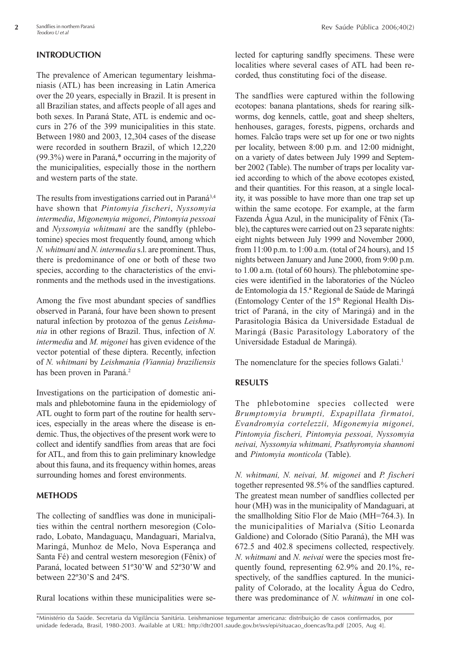## **INTRODUCTION**

The prevalence of American tegumentary leishmaniasis (ATL) has been increasing in Latin America over the 20 years, especially in Brazil. It is present in all Brazilian states, and affects people of all ages and both sexes. In Paraná State, ATL is endemic and occurs in 276 of the 399 municipalities in this state. Between 1980 and 2003, 12,304 cases of the disease were recorded in southern Brazil, of which 12,220 (99.3%) were in Paraná,\* occurring in the majority of the municipalities, especially those in the northern and western parts of the state.

The results from investigations carried out in Paraná<sup>3,4</sup> have shown that *Pintomyia fischeri*, *Nyssomyia intermedia*, *Migonemyia migonei*, *Pintomyia pessoai* and *Nyssomyia whitmani* are the sandfly (phlebotomine) species most frequently found, among which *N. whitmani* and *N. intermedia* s.l. are prominent. Thus, there is predominance of one or both of these two species, according to the characteristics of the environments and the methods used in the investigations.

Among the five most abundant species of sandflies observed in Paraná, four have been shown to present natural infection by protozoa of the genus *Leishmania* in other regions of Brazil. Thus, infection of *N. intermedia* and *M. migonei* has given evidence of the vector potential of these diptera. Recently, infection of *N. whitmani* by *Leishmania (Viannia) braziliensis* has been proven in Paraná.<sup>2</sup>

Investigations on the participation of domestic animals and phlebotomine fauna in the epidemiology of ATL ought to form part of the routine for health services, especially in the areas where the disease is endemic. Thus, the objectives of the present work were to collect and identify sandflies from areas that are foci for ATL, and from this to gain preliminary knowledge about this fauna, and its frequency within homes, areas surrounding homes and forest environments.

### **METHODS**

The collecting of sandflies was done in municipalities within the central northern mesoregion (Colorado, Lobato, Mandaguaçu, Mandaguari, Marialva, Maringá, Munhoz de Melo, Nova Esperança and Santa Fé) and central western mesoregion (Fênix) of Paraná, located between 51º30'W and 52º30'W and between 22º30'S and 24ºS.

Rural locations within these municipalities were se-

lected for capturing sandfly specimens. These were localities where several cases of ATL had been recorded, thus constituting foci of the disease.

The sandflies were captured within the following ecotopes: banana plantations, sheds for rearing silkworms, dog kennels, cattle, goat and sheep shelters, henhouses, garages, forests, pigpens, orchards and homes. Falcão traps were set up for one or two nights per locality, between 8:00 p.m. and 12:00 midnight, on a variety of dates between July 1999 and September 2002 (Table). The number of traps per locality varied according to which of the above ecotopes existed, and their quantities. For this reason, at a single locality, it was possible to have more than one trap set up within the same ecotope. For example, at the farm Fazenda Água Azul, in the municipality of Fênix (Table), the captures were carried out on 23 separate nights: eight nights between July 1999 and November 2000, from 11:00 p.m. to 1:00 a.m. (total of 24 hours), and 15 nights between January and June 2000, from 9:00 p.m. to 1.00 a.m. (total of 60 hours). The phlebotomine species were identified in the laboratories of the Núcleo de Entomologia da 15.ª Regional de Saúde de Maringá (Entomology Center of the  $15<sup>th</sup>$  Regional Health District of Paraná, in the city of Maringá) and in the Parasitologia Básica da Universidade Estadual de Maringá (Basic Parasitology Laboratory of the Universidade Estadual de Maringá).

The nomenclature for the species follows Galati.<sup>1</sup>

### **RESULTS**

The phlebotomine species collected were *Brumptomyia brumpti, Expapillata firmatoi, Evandromyia cortelezzii, Migonemyia migonei, Pintomyia fischeri, Pintomyia pessoai, Nyssomyia neivai, Nyssomyia whitmani, Psathyromyia shannoni* and *Pintomyia monticola* (Table).

*N. whitmani, N. neivai, M. migonei* and *P. fischeri* together represented 98.5% of the sandflies captured. The greatest mean number of sandflies collected per hour (MH) was in the municipality of Mandaguari, at the smallholding Sítio Flor de Maio (MH=764.3). In the municipalities of Marialva (Sítio Leonarda Galdione) and Colorado (Sítio Paraná), the MH was 672.5 and 402.8 specimens collected, respectively. *N. whitmani* and *N. neivai* were the species most frequently found, representing 62.9% and 20.1%, respectively, of the sandflies captured. In the municipality of Colorado, at the locality Água do Cedro, there was predominance of *N. whitmani* in one col-

\*Ministério da Saúde. Secretaria da Vigilância Sanitária. Leishmaniose tegumentar americana: distribuição de casos confirmados, por unidade federada, Brasil, 1980-2003. Available at URL: http://dtr2001.saude.gov.br/svs/epi/situacao\_doencas/lta.pdf [2005, Aug 4].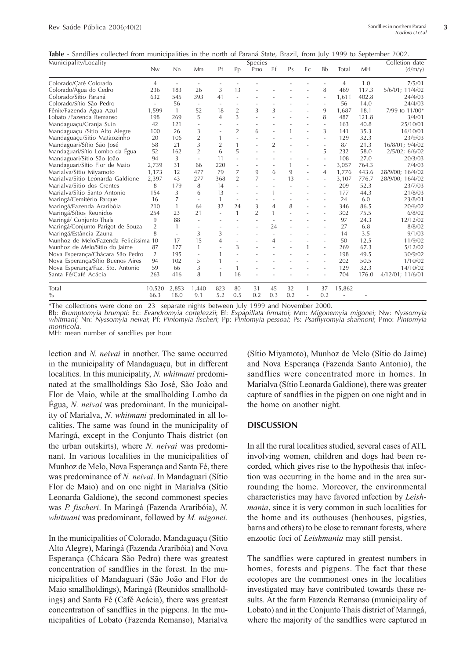**Table** - Sandflies collected from municipalities in the north of Paraná State, Brazil, from July 1999 to September 2002.

| Municipality/Locality              |                |              |                          |                          |                          | Species        |                |              |    |                          |        |       | Colletion date   |
|------------------------------------|----------------|--------------|--------------------------|--------------------------|--------------------------|----------------|----------------|--------------|----|--------------------------|--------|-------|------------------|
|                                    | <b>Nw</b>      | Nn           | Mm                       | Pf                       | Pp                       | Pmo            | Ef             | Ps           | Ec | Bb                       | Total  | MH    | (d/m/v)          |
| Colorado/Café Colorado             | $\overline{4}$ |              |                          |                          |                          |                |                |              |    |                          | 4      | 1.0   | 7/5/01           |
| Colorado/Água do Cedro             | 236            | 183          | 26                       | 3                        | 13                       |                |                |              |    | 8                        | 469    | 117.3 | 5/6/01; 11/4/02  |
| Colorado/Sítio Paraná              | 632            | 545          | 393                      | 41                       | $\sim$                   |                |                |              |    | ÷.                       | 1,611  | 402.8 | 24/4/03          |
| Colorado/Sítio São Pedro           |                | 56           | $\overline{\phantom{a}}$ | $\overline{\phantom{a}}$ |                          |                |                |              |    |                          | 56     | 14.0  | 24/4/03          |
| Fênix/Fazenda Água Azul            | 1,599          | $\mathbf{1}$ | 52                       | 18                       | $\overline{2}$           | 3              | 3              |              |    | 9                        | 1,687  | 18.1  | 7/99 to 11/00*   |
| Lobato /Fazenda Remanso            | 198            | 269          | 5                        | $\overline{4}$           | 3                        |                |                |              |    | 8                        | 487    | 121.8 | 3/4/01           |
| Mandaguaçu/Granja Suin             | 42             | 121          |                          |                          |                          |                |                |              |    | $\overline{a}$           | 163    | 40.8  | 25/10/01         |
| Mandaguaçu /Sítio Alto Alegre      | 100            | 26           | 3                        | ٠                        | $\overline{2}$           | 6              |                | $\mathbf{1}$ |    | 3                        | 141    | 35.3  | 16/10/01         |
| Mandaguaçu/Sítio Matãozinho        | 20             | 106          | $\overline{2}$           | 1                        | $\overline{\phantom{a}}$ |                |                |              |    |                          | 129    | 32.3  | 23/9/03          |
| Mandaguari/Sítio São José          | 58             | 21           | 3                        | $\overline{2}$           | 1                        |                | $\overline{2}$ |              |    |                          | 87     | 21.3  | 16/8/01; 9/4/02  |
| Mandaguari/Sítio Lombo da Égua     | 52             | 162          | $\overline{2}$           | 6                        | 5                        |                |                |              |    | 5                        | 232    | 58.0  | 2/5/02; 6/6/02   |
| Mandaguari/Sítio São João          | 94             | 3            | $\sim$                   | 11                       | ÷,                       |                |                |              |    | $\overline{\phantom{a}}$ | 108    | 27.0  | 20/3/03          |
| Mandaguari/Sítio Flor de Maio      | 2,739          | 31           | 66                       | 220                      | $\overline{\phantom{a}}$ |                |                | $\mathbf{1}$ |    | $\sim$                   | 3,057  | 764.3 | 7/4/03           |
| Marialva/Sítio Miyamoto            | 1,173          | 12           | 477                      | 79                       | 7                        | 9              | 6              | 9            |    | $\overline{4}$           | 1,776  | 443.6 | 28/9/00; 16/4/02 |
| Marialva/Sítio Leonarda Galdione   | 2,397          | 43           | 277                      | 368                      | $\overline{2}$           | $\overline{7}$ |                | 13           |    | ÷.                       | 3,107  | 776.7 | 28/9/00; 16/4/02 |
| Marialva/Sítio dos Crentes         | 8              | 179          | 8                        | 14                       |                          |                |                |              |    |                          | 209    | 52.3  | 23/7/03          |
| Marialva/Sítio Santo Antonio       | 154            | 3            | 6                        | 13                       |                          |                |                |              |    |                          | 177    | 44.3  | 21/8/03          |
| Maringá/Cemitério Parque           | 16             | 7            | $\overline{\phantom{a}}$ | $\mathbf{1}$             | $\sim$                   |                |                |              |    |                          | 24     | 6.0   | 23/8/01          |
| Maringá/Fazenda Araribóia          | 210            | 1            | 64                       | 32                       | 24                       | 3              | 4              | 8            |    | ÷.                       | 346    | 86.5  | 20/6/02          |
| Maringá/Sítios Reunidos            | 254            | 23           | 21                       | $\sim$                   | 1                        | $\overline{2}$ | $\mathbf{1}$   |              |    | ÷,                       | 302    | 75.5  | 6/8/02           |
| Maringá/ Conjunto Thaís            | 9              | 88           |                          | ٠                        |                          |                |                |              |    |                          | 97     | 24.3  | 12/12/02         |
| Maringá/Conjunto Parigot de Souza  | $\overline{2}$ | 1            |                          |                          |                          |                | 24             |              |    |                          | 27     | 6.8   | 8/8/02           |
| Maringá/Estância Zauna             | 8              |              | 3                        | 3                        |                          |                |                |              |    |                          | 14     | 3.5   | 9/1/03           |
| Munhoz de Melo/Fazenda Felicíssima | 10             | 17           | 15                       | $\overline{4}$           |                          |                | $\overline{4}$ |              |    |                          | 50     | 12.5  | 11/9/02          |
| Munhoz de Melo/Sítio do Jaime      | 87             | 177          | $\mathbf{1}$             |                          | 3                        |                |                |              |    | ٠                        | 269    | 67.3  | 5/12/02          |
| Nova Esperança/Chácara São Pedro   | 2              | 195          | $\overline{\phantom{a}}$ | 1                        |                          |                |                |              |    |                          | 198    | 49.5  | 30/9/02          |
| Nova Esperança/Sítio Buenos Aires  | 94             | 102          | 5                        | 1                        |                          |                |                |              |    |                          | 202    | 50.5  | 1/10/02          |
| Nova Esperança/Faz. Sto. Antonio   | 59             | 66           | 3                        |                          | 1                        |                |                |              |    |                          | 129    | 32.3  | 14/10/02         |
| Santa Fé/Café Acácia               | 263            | 416          | 8                        | $\mathbf{1}$             | 16                       |                |                |              |    |                          | 704    | 176.0 | 4/12/01; 11/6/01 |
| Total                              | 10,520         | 2,853        | 1,440                    | 823                      | 80                       | 31             | 45             | 32           | 1  | 37                       | 15,862 |       |                  |
| $\frac{0}{0}$                      | 66.3           | 18.0         | 9.1                      | 5.2                      | 0.5                      | 0.2            | 0.3            | 0.2          |    | 0.2                      |        |       |                  |

\*The collections were done on 23 separate nights between July 1999 and November 2000.

Bb: Brumptomyia brumpti; Ec: Evandromyia cortelezzii; Et: Expapillata firmatoi; Mm: Migonemyia migonei; Nw: Nyssomyia whitmani; Nn: Nyssomyia neivai; Pt: Pintomyia fischeri; Pp: Pintomyia pessoai; Ps: Psathyromyia shannoni

MH: mean number of sandflies per hour.

lection and *N. neivai* in another. The same occurred in the municipality of Mandaguaçu, but in different localities. In this municipality, *N. whitmani* predominated at the smallholdings São José, São João and Flor de Maio, while at the smallholding Lombo da Égua, *N. neivai* was predominant. In the municipality of Marialva, *N. whitmani* predominated in all localities. The same was found in the municipality of Maringá, except in the Conjunto Thaís district (on the urban outskirts), where *N. neivai* was predominant. In various localities in the municipalities of Munhoz de Melo, Nova Esperança and Santa Fé, there was predominance of *N. neivai*. In Mandaguari (Sítio Flor de Maio) and on one night in Marialva (Sítio Leonarda Galdione), the second commonest species was *P. fischeri*. In Maringá (Fazenda Araribóia), *N. whitmani* was predominant, followed by *M. migonei*.

In the municipalities of Colorado, Mandaguaçu (Sítio Alto Alegre), Maringá (Fazenda Araribóia) and Nova Esperança (Chácara São Pedro) there was greatest concentration of sandflies in the forest. In the municipalities of Mandaguari (São João and Flor de Maio smallholdings), Maringá (Reunidos smallholdings) and Santa Fé (Café Acácia), there was greatest concentration of sandflies in the pigpens. In the municipalities of Lobato (Fazenda Remanso), Marialva (Sítio Miyamoto), Munhoz de Melo (Sítio do Jaime) and Nova Esperança (Fazenda Santo Antonio), the sandflies were concentrated more in homes. In Marialva (Sítio Leonarda Galdione), there was greater capture of sandflies in the pigpen on one night and in the home on another night.

#### **DISCUSSION**

In all the rural localities studied, several cases of ATL involving women, children and dogs had been recorded, which gives rise to the hypothesis that infection was occurring in the home and in the area surrounding the home. Moreover, the environmental characteristics may have favored infection by *Leishmania*, since it is very common in such localities for the home and its outhouses (henhouses, pigsties, barns and others) to be close to remnant forests, where enzootic foci of *Leishmania* may still persist.

The sandflies were captured in greatest numbers in homes, forests and pigpens. The fact that these ecotopes are the commonest ones in the localities investigated may have contributed towards these results. At the farm Fazenda Remanso (municipality of Lobato) and in the Conjunto Thaís district of Maringá, where the majority of the sandflies were captured in